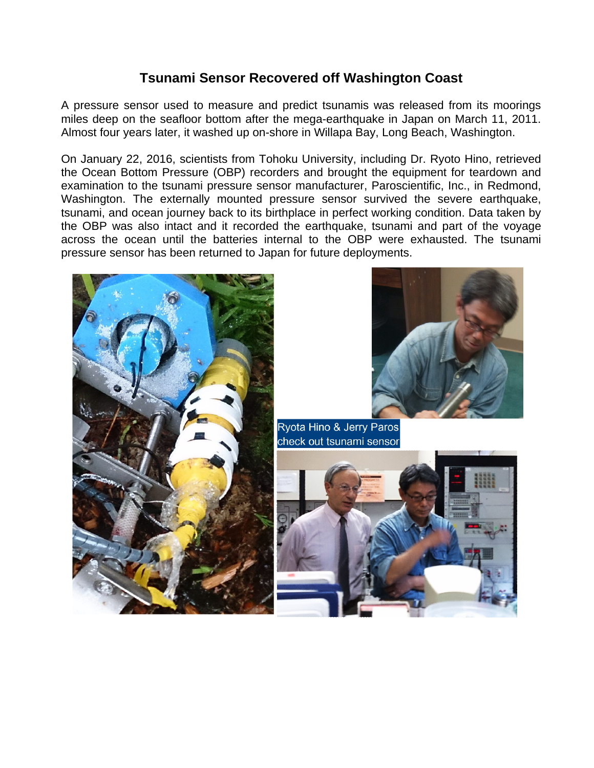## **Tsunami Sensor Recovered off Washington Coast**

A pressure sensor used to measure and predict tsunamis was released from its moorings miles deep on the seafloor bottom after the mega-earthquake in Japan on March 11, 2011. Almost four years later, it washed up on-shore in Willapa Bay, Long Beach, Washington.

On January 22, 2016, scientists from Tohoku University, including Dr. Ryoto Hino, retrieved the Ocean Bottom Pressure (OBP) recorders and brought the equipment for teardown and examination to the tsunami pressure sensor manufacturer, Paroscientific, Inc., in Redmond, Washington. The externally mounted pressure sensor survived the severe earthquake, tsunami, and ocean journey back to its birthplace in perfect working condition. Data taken by the OBP was also intact and it recorded the earthquake, tsunami and part of the voyage across the ocean until the batteries internal to the OBP were exhausted. The tsunami pressure sensor has been returned to Japan for future deployments.





Ryota Hino & Jerry Paros check out tsunami sensor

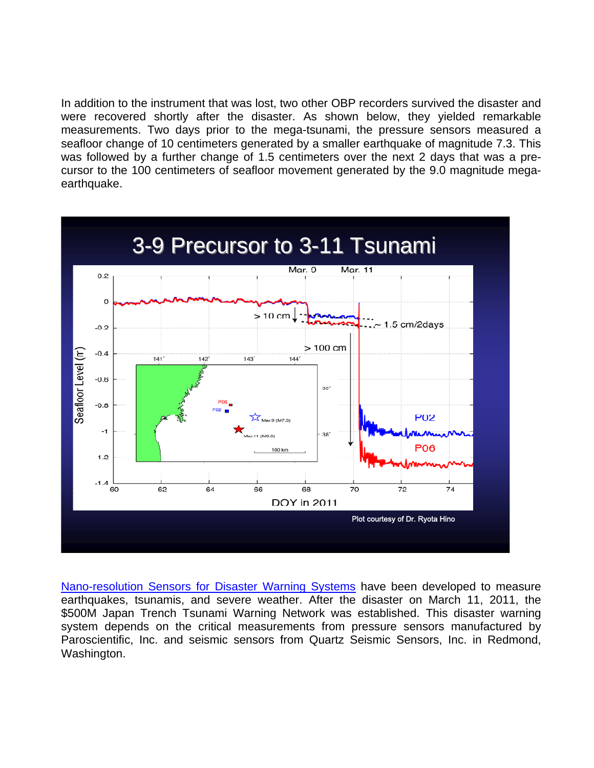In addition to the instrument that was lost, two other OBP recorders survived the disaster and were recovered shortly after the disaster. As shown below, they yielded remarkable measurements. Two days prior to the mega-tsunami, the pressure sensors measured a seafloor change of 10 centimeters generated by a smaller earthquake of magnitude 7.3. This was followed by a further change of 1.5 centimeters over the next 2 days that was a precursor to the 100 centimeters of seafloor movement generated by the 9.0 magnitude megaearthquake.



[Nano-resolution Sensors for Disaster Warning Systems](http://paroscientific.com/pdf/10_Oceans_2012_Disaster_Warning_Systems.pdf) have been developed to measure earthquakes, tsunamis, and severe weather. After the disaster on March 11, 2011, the \$500M Japan Trench Tsunami Warning Network was established. This disaster warning system depends on the critical measurements from pressure sensors manufactured by Paroscientific, Inc. and seismic sensors from Quartz Seismic Sensors, Inc. in Redmond, Washington.